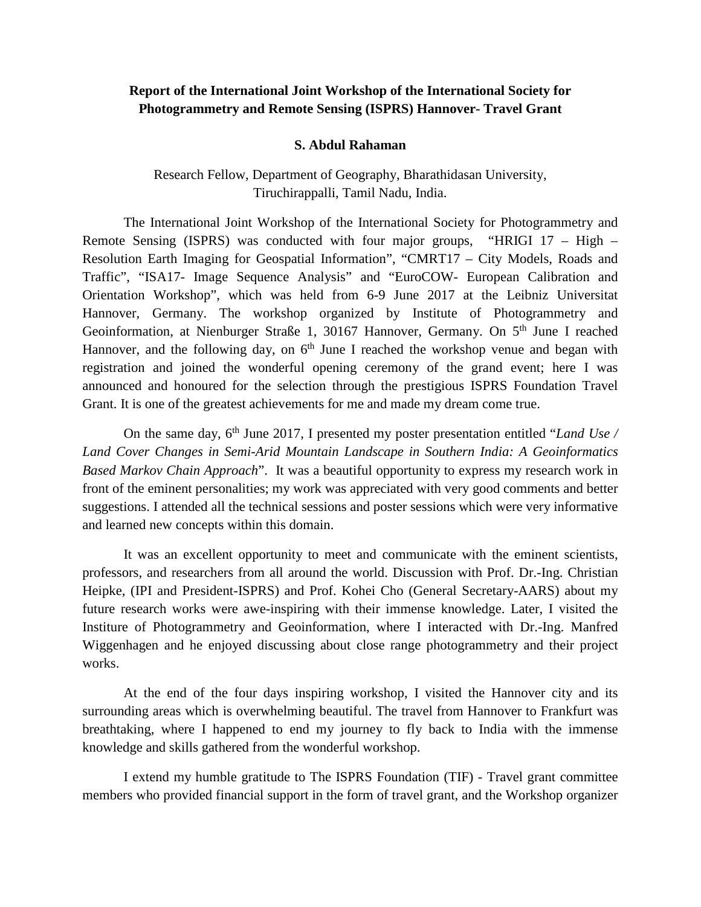## **Report of the International Joint Workshop of the International Society for Photogrammetry and Remote Sensing (ISPRS) Hannover- Travel Grant**

## **S. Abdul Rahaman**

Research Fellow, Department of Geography, Bharathidasan University, Tiruchirappalli, Tamil Nadu, India.

The International Joint Workshop of the International Society for Photogrammetry and Remote Sensing (ISPRS) was conducted with four major groups, "HRIGI 17 – High – Resolution Earth Imaging for Geospatial Information", "CMRT17 – City Models, Roads and Traffic", "ISA17- Image Sequence Analysis" and "EuroCOW- European Calibration and Orientation Workshop", which was held from 6-9 June 2017 at the Leibniz Universitat Hannover, Germany. The workshop organized by Institute of Photogrammetry and Geoinformation, at Nienburger Straße 1, 30167 Hannover, Germany. On 5<sup>th</sup> June I reached Hannover, and the following day, on  $6<sup>th</sup>$  June I reached the workshop venue and began with registration and joined the wonderful opening ceremony of the grand event; here I was announced and honoured for the selection through the prestigious ISPRS Foundation Travel Grant. It is one of the greatest achievements for me and made my dream come true.

On the same day, 6<sup>th</sup> June 2017, I presented my poster presentation entitled "*Land Use* / *Land Cover Changes in Semi-Arid Mountain Landscape in Southern India: A Geoinformatics Based Markov Chain Approach*". It was a beautiful opportunity to express my research work in front of the eminent personalities; my work was appreciated with very good comments and better suggestions. I attended all the technical sessions and poster sessions which were very informative and learned new concepts within this domain.

It was an excellent opportunity to meet and communicate with the eminent scientists, professors, and researchers from all around the world. Discussion with Prof. Dr.-Ing. Christian Heipke, (IPI and President-ISPRS) and Prof. Kohei Cho (General Secretary-AARS) about my future research works were awe-inspiring with their immense knowledge. Later, I visited the Institure of Photogrammetry and Geoinformation, where I interacted with Dr.-Ing. Manfred Wiggenhagen and he enjoyed discussing about close range photogrammetry and their project works.

At the end of the four days inspiring workshop, I visited the Hannover city and its surrounding areas which is overwhelming beautiful. The travel from Hannover to Frankfurt was breathtaking, where I happened to end my journey to fly back to India with the immense knowledge and skills gathered from the wonderful workshop.

I extend my humble gratitude to The ISPRS Foundation (TIF) - Travel grant committee members who provided financial support in the form of travel grant, and the Workshop organizer